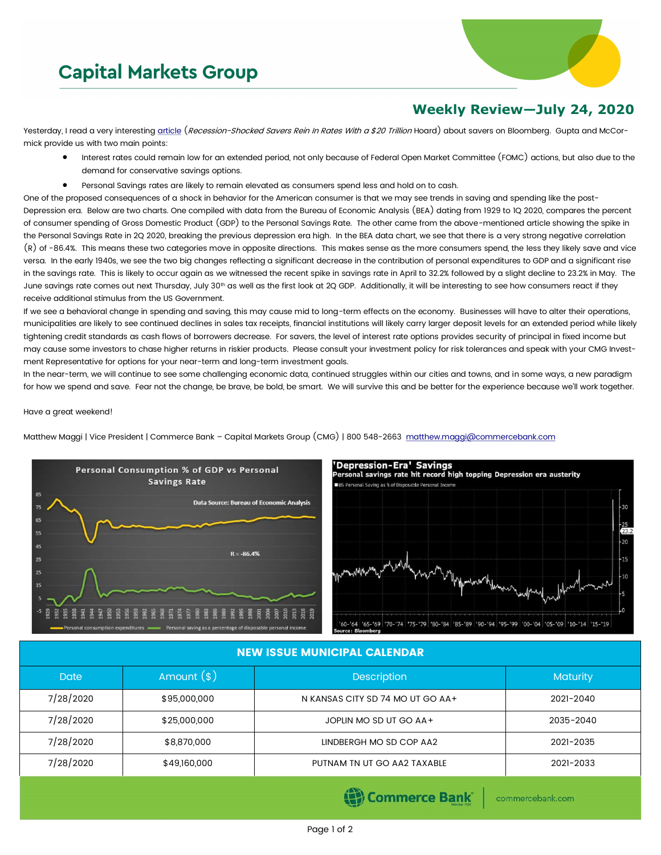## **Capital Markets Group**



## **Weekly Review—July 24, 2020**

Yesterday, I read a very interesting [article](https://www.bloomberg.com/news/articles/2020-07-22/recession-shocked-savers-rein-in-rates-with-a-20-trillion-hoard) (Recession-Shocked Savers Rein In Rates With a \$20 Trillion Hoard) about savers on Bloomberg. Gupta and McCormick provide us with two main points:

- Interest rates could remain low for an extended period, not only because of Federal Open Market Committee (FOMC) actions, but also due to the demand for conservative savings options.
- Personal Savings rates are likely to remain elevated as consumers spend less and hold on to cash.

One of the proposed consequences of a shock in behavior for the American consumer is that we may see trends in saving and spending like the post-Depression era. Below are two charts. One compiled with data from the Bureau of Economic Analysis (BEA) dating from 1929 to 1Q 2020, compares the percent of consumer spending of Gross Domestic Product (GDP) to the Personal Savings Rate. The other came from the above-mentioned article showing the spike in the Personal Savings Rate in 2Q 2020, breaking the previous depression era high. In the BEA data chart, we see that there is a very strong negative correlation (R) of -86.4%. This means these two categories move in opposite directions. This makes sense as the more consumers spend, the less they likely save and vice versa. In the early 1940s, we see the two big changes reflecting a significant decrease in the contribution of personal expenditures to GDP and a significant rise in the savings rate. This is likely to occur again as we witnessed the recent spike in savings rate in April to 32.2% followed by a slight decline to 23.2% in May. The June savings rate comes out next Thursday, July 30<sup>th</sup> as well as the first look at 2Q GDP. Additionally, it will be interesting to see how consumers react if they receive additional stimulus from the US Government.

If we see a behavioral change in spending and saving, this may cause mid to long-term effects on the economy. Businesses will have to alter their operations, municipalities are likely to see continued declines in sales tax receipts, financial institutions will likely carry larger deposit levels for an extended period while likely tightening credit standards as cash flows of borrowers decrease. For savers, the level of interest rate options provides security of principal in fixed income but may cause some investors to chase higher returns in riskier products. Please consult your investment policy for risk tolerances and speak with your CMG Investment Representative for options for your near-term and long-term investment goals.

In the near-term, we will continue to see some challenging economic data, continued struggles within our cities and towns, and in some ways, a new paradigm for how we spend and save. Fear not the change, be brave, be bold, be smart. We will survive this and be better for the experience because we'll work together.

Have a great weekend!

Matthew Maggi | Vice President | Commerce Bank – Capital Markets Group (CMG) | 800 548-2663 [matthew.maggi@commercebank.com](mailto:matthew.maggi@commercebank.com)





## NEW ISSUE MUNICIPAL CALENDAR

| <b>Date</b> | Amount $(*)$ | <b>Description</b>               | <b>Maturity</b> |
|-------------|--------------|----------------------------------|-----------------|
| 7/28/2020   | \$95,000,000 | N KANSAS CITY SD 74 MO UT GO AA+ | 2021-2040       |
| 7/28/2020   | \$25,000,000 | JOPLIN MO SD UT GO AA+           | 2035-2040       |
| 7/28/2020   | \$8,870,000  | LINDBERGH MO SD COP AA2          | 2021-2035       |
| 7/28/2020   | \$49,160,000 | PUTNAM TN UT GO AA2 TAXABLE      | 2021-2033       |

Commerce Bank

commercebank.com